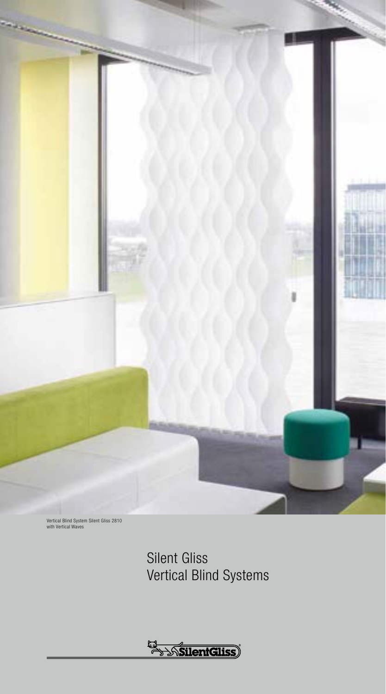

Vertical Blind System Silent Gliss 2810 with Vertical Waves

Silent Gliss Vertical Blind Systems

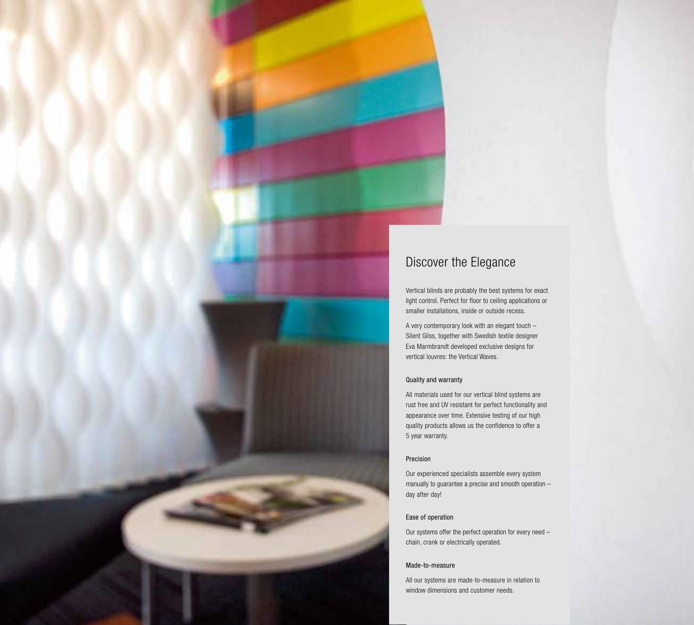

## Discover the Elegance

Vertical blinds are probably the best systems for exact light control. Perfect for floor to ceiling applications or smaller installations, inside or outside recess.

A very contemporary look with an elegant touch – Silent Gliss, together with Swedish textile designer Eva Marmbrandt developed exclusive designs for vertical louvres: the Vertical Waves.

#### Quality and warranty

All materials used for our vertical blind systems are rust free and UV resistant for perfect functionality and appearance over time. Extensive testing of our high quality products allows us the confidence to offer a 5 year warranty.

#### Precision

Our experienced specialists assemble every system manually to guarantee a precise and smooth operation – day after day!

#### Ease of operation

Our systems offer the perfect operation for every need – chain, crank or electrically operated.

#### Made-to-measure

All our systems are made-to-measure in relation to window dimensions and customer needs.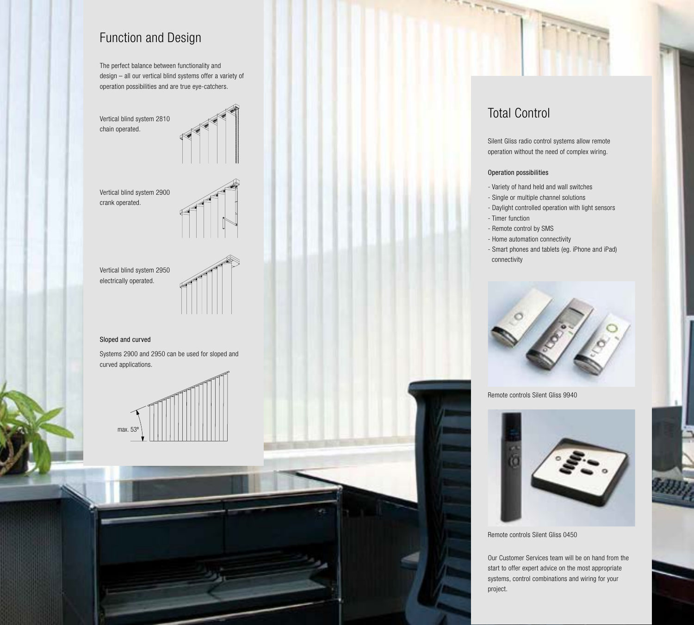### Function and Design

The perfect balance between functionality and design – all our vertical blind systems offer a variety of operation possibilities and are true eye-catchers.

Vertical blind system 2810 chain operated.



Vertical blind system 2900 crank operated.



Vertical blind system 2950 electrically operated.



#### Sloped and curved

Systems 2900 and 2950 can be used for sloped and curved applications.



## Total Control

Silent Gliss radio control systems allow remote operation without the need of complex wiring.

#### Operation possibilities

- Variety of hand held and wall switches
- Single or multiple channel solutions
- Daylight controlled operation with light sensors
- Timer function
- Remote control by SMS
- Home automation connectivity
- Smart phones and tablets (eg. iPhone and iPad) connectivity



Remote controls Silent Gliss 9940



Remote controls Silent Gliss 0450

Our Customer Services team will be on hand from the start to offer expert advice on the most appropriate systems, control combinations and wiring for your project.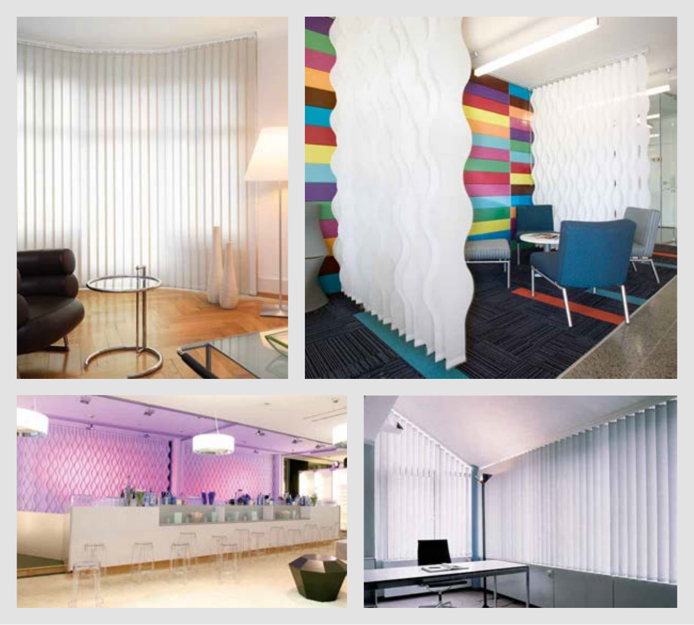





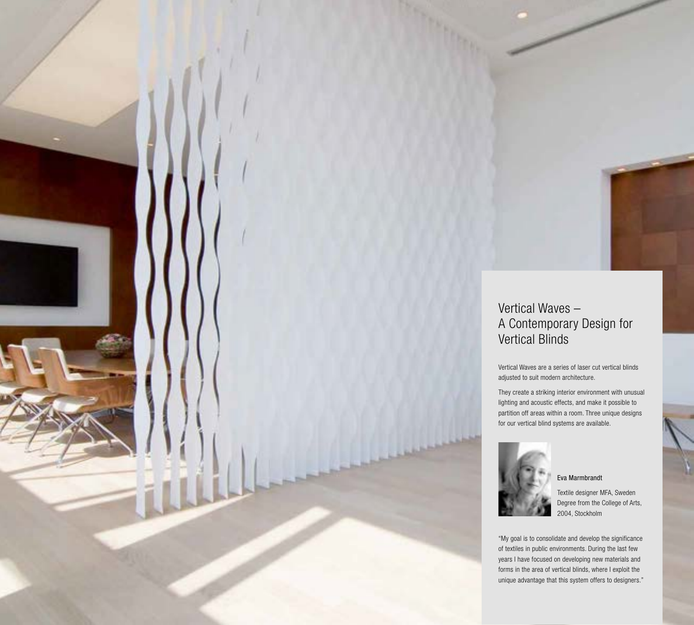## Vertical Waves – A Contemporary Design for Vertical Blinds

Vertical Waves are a series of laser cut vertical blinds adjusted to suit modern architecture.

They create a striking interior environment with unusual lighting and acoustic effects, and make it possible to partition off areas within a room. Three unique designs for our vertical blind systems are available.



#### Eva Marmbrandt

Textile designer MFA, Sweden Degree from the College of Arts, 2004, Stockholm

"My goal is to consolidate and develop the significance of textiles in public environments. During the last few years I have focused on developing new materials and forms in the area of vertical blinds, where I exploit the unique advantage that this system offers to designers."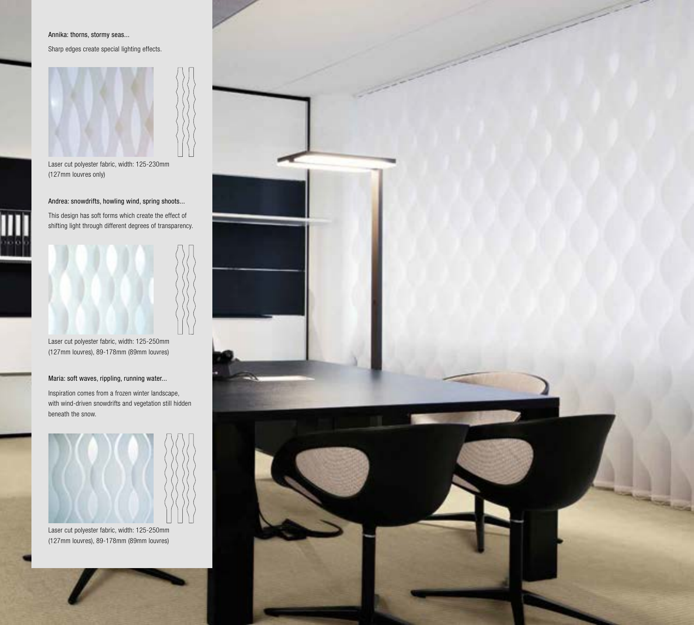#### Annika: thorns, stormy seas...

Sharp edges create special lighting effects.



Laser cut polyester fabric, width: 125-230mm (127mm louvres only)

Andrea: snowdrifts, howling wind, spring shoots...

This design has soft forms which create the effect of shifting light through different degrees of transparency.



Laser cut polyester fabric, width: 125-250mm (127mm louvres), 89-178mm (89mm louvres)

Maria: soft waves, rippling, running water...

Inspiration comes from a frozen winter landscape, with wind-driven snowdrifts and vegetation still hidden beneath the snow.



Laser cut polyester fabric, width: 125-250mm (127mm louvres), 89-178mm (89mm louvres)

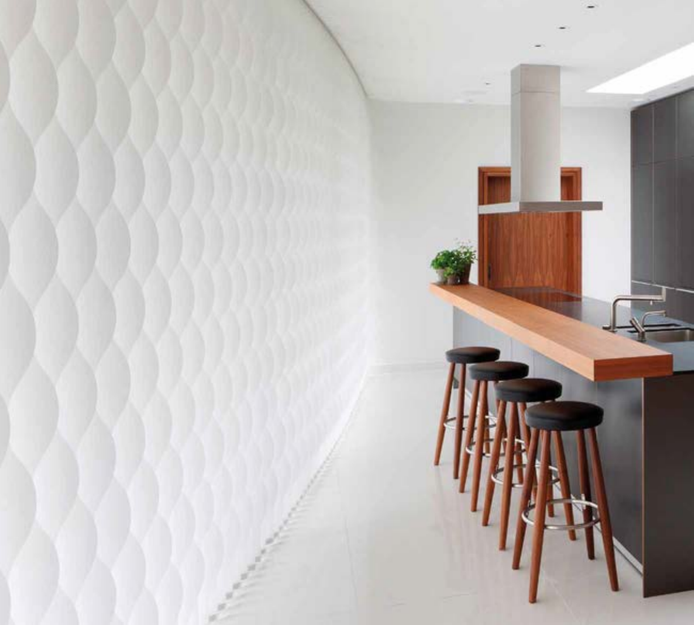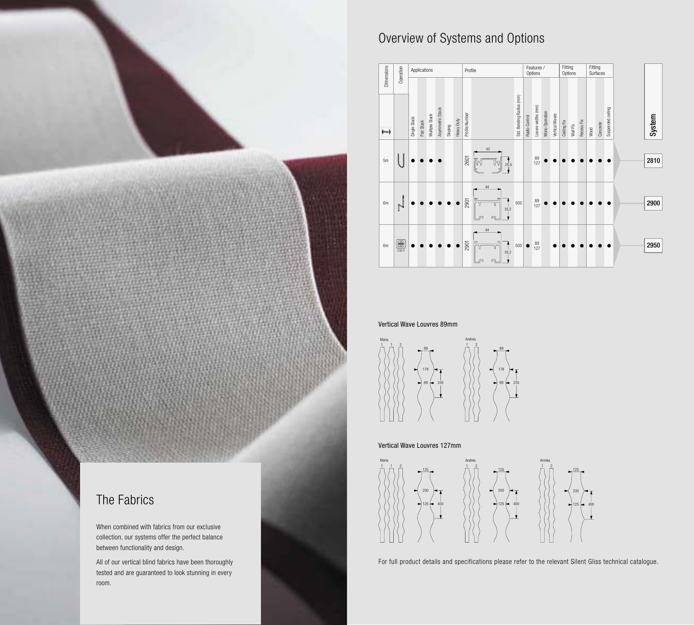

All of our vertical blind fabrics have been thoroughly tested and are guaranteed to look stunning in every room.

# Overview of Systems and Options



Vertical Wave Louvres 89mm



### Vertical Wave Louvres 127mm



For full product details and specifications please refer to the relevant Silent Gliss technical catalogue.